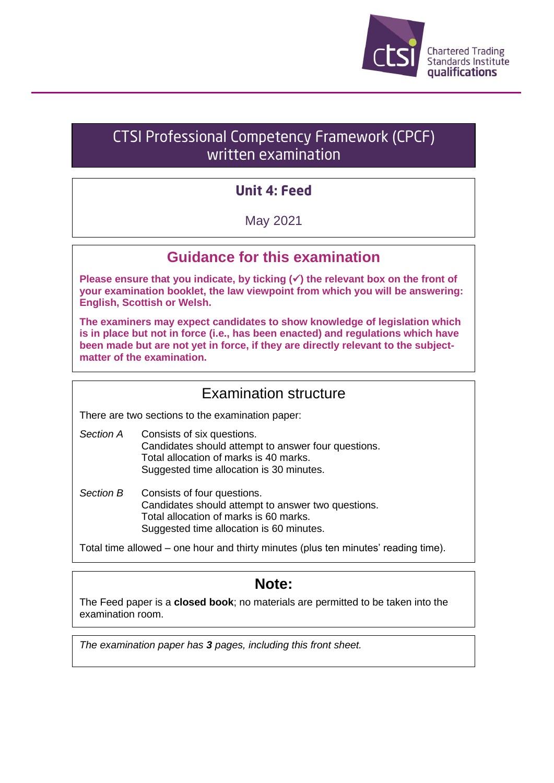

# **CTSI Professional Competency Framework (CPCF)** written examination

# **Unit 4: Feed**

May 2021

## **Guidance for this examination**

**Please ensure that you indicate, by ticking (**✓**) the relevant box on the front of your examination booklet, the law viewpoint from which you will be answering: English, Scottish or Welsh.**

**The examiners may expect candidates to show knowledge of legislation which is in place but not in force (i.e., has been enacted) and regulations which have been made but are not yet in force, if they are directly relevant to the subjectmatter of the examination.**

### Examination structure

There are two sections to the examination paper:

- *Section A* Consists of six questions. Candidates should attempt to answer four questions. Total allocation of marks is 40 marks. Suggested time allocation is 30 minutes.
- *Section B* Consists of four questions. Candidates should attempt to answer two questions. Total allocation of marks is 60 marks. Suggested time allocation is 60 minutes.

Total time allowed – one hour and thirty minutes (plus ten minutes' reading time).

## **Note:**

The Feed paper is a **closed book**; no materials are permitted to be taken into the examination room.

*The examination paper has 3 pages, including this front sheet.*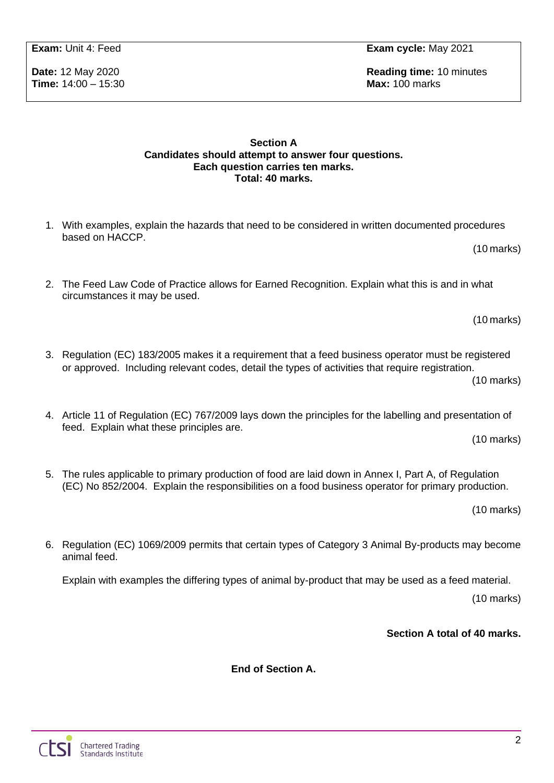**Time:** 14:00 – 15:30 **Max:** 100 marks

**Exam:** Unit 4: Feed **Exam cycle:** May 2021

**Date:** 12 May 2020 **Reading time:** 10 minutes

### **Section A Candidates should attempt to answer four questions. Each question carries ten marks. Total: 40 marks.**

- 1. With examples, explain the hazards that need to be considered in written documented procedures based on HACCP.
- 2. The Feed Law Code of Practice allows for Earned Recognition. Explain what this is and in what circumstances it may be used.

(10 marks)

(10 marks)

3. Regulation (EC) 183/2005 makes it a requirement that a feed business operator must be registered or approved. Including relevant codes, detail the types of activities that require registration.

(10 marks)

4. Article 11 of Regulation (EC) 767/2009 lays down the principles for the labelling and presentation of feed. Explain what these principles are.

(10 marks)

5. The rules applicable to primary production of food are laid down in Annex I, Part A, of Regulation (EC) No 852/2004. Explain the responsibilities on a food business operator for primary production.

(10 marks)

6. Regulation (EC) 1069/2009 permits that certain types of Category 3 Animal By-products may become animal feed.

Explain with examples the differing types of animal by-product that may be used as a feed material.

(10 marks)

**Section A total of 40 marks.**

**End of Section A.**